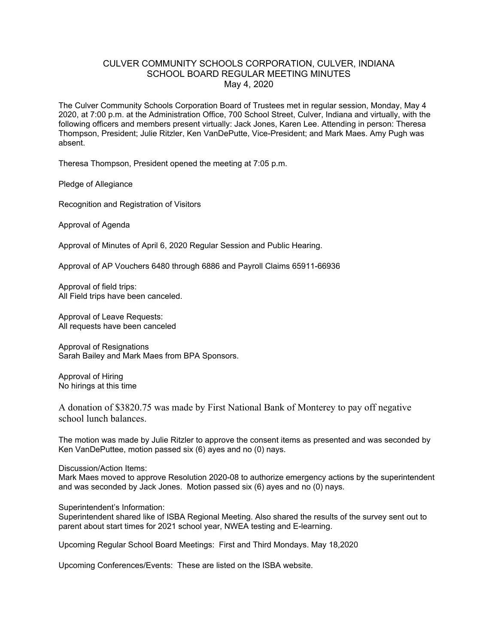## CULVER COMMUNITY SCHOOLS CORPORATION, CULVER, INDIANA SCHOOL BOARD REGULAR MEETING MINUTES May 4, 2020

The Culver Community Schools Corporation Board of Trustees met in regular session, Monday, May 4 2020, at 7:00 p.m. at the Administration Office, 700 School Street, Culver, Indiana and virtually, with the following officers and members present virtually: Jack Jones, Karen Lee. Attending in person: Theresa Thompson, President; Julie Ritzler, Ken VanDePutte, Vice-President; and Mark Maes. Amy Pugh was absent.

Theresa Thompson, President opened the meeting at 7:05 p.m.

Pledge of Allegiance

Recognition and Registration of Visitors

Approval of Agenda

Approval of Minutes of April 6, 2020 Regular Session and Public Hearing.

Approval of AP Vouchers 6480 through 6886 and Payroll Claims 65911-66936

Approval of field trips: All Field trips have been canceled.

Approval of Leave Requests: All requests have been canceled

Approval of Resignations Sarah Bailey and Mark Maes from BPA Sponsors.

Approval of Hiring No hirings at this time

A donation of \$3820.75 was made by First National Bank of Monterey to pay off negative school lunch balances.

The motion was made by Julie Ritzler to approve the consent items as presented and was seconded by Ken VanDePuttee, motion passed six (6) ayes and no (0) nays.

Discussion/Action Items:

Mark Maes moved to approve Resolution 2020-08 to authorize emergency actions by the superintendent and was seconded by Jack Jones. Motion passed six (6) ayes and no (0) nays.

Superintendent's Information:

Superintendent shared like of ISBA Regional Meeting. Also shared the results of the survey sent out to parent about start times for 2021 school year, NWEA testing and E-learning.

Upcoming Regular School Board Meetings: First and Third Mondays. May 18,2020

Upcoming Conferences/Events: These are listed on the ISBA website.